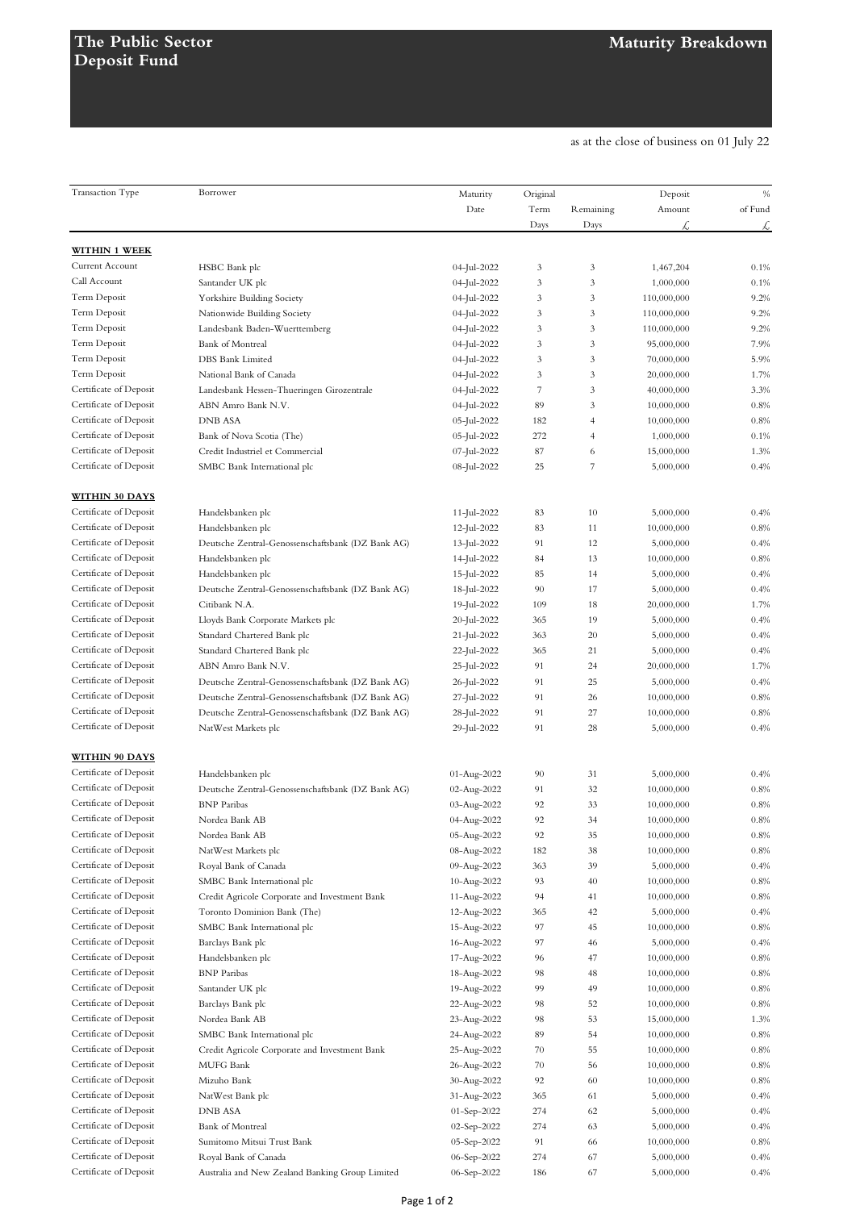as at the close of business on 01 July 22

|                        | Borrower                                          |                  |          |                |             |         |
|------------------------|---------------------------------------------------|------------------|----------|----------------|-------------|---------|
| Transaction Type       |                                                   | Maturity<br>Date | Original |                | Deposit     | $\%$    |
|                        |                                                   |                  | Term     | Remaining      | Amount      | of Fund |
|                        |                                                   |                  | Days     | Days           | £           | £       |
| <b>WITHIN 1 WEEK</b>   |                                                   |                  |          |                |             |         |
| Current Account        | HSBC Bank plc                                     | 04-Jul-2022      | 3        | 3              | 1,467,204   | 0.1%    |
| Call Account           | Santander UK plc                                  | 04-Jul-2022      | 3        | 3              | 1,000,000   | 0.1%    |
| Term Deposit           | Yorkshire Building Society                        | 04-Jul-2022      | 3        | 3              | 110,000,000 | 9.2%    |
| Term Deposit           | Nationwide Building Society                       | 04-Jul-2022      | 3        | 3              | 110,000,000 | 9.2%    |
| Term Deposit           |                                                   |                  |          | 3              |             |         |
|                        | Landesbank Baden-Wuerttemberg                     | 04-Jul-2022      | 3        |                | 110,000,000 | 9.2%    |
| Term Deposit           | Bank of Montreal                                  | 04-Jul-2022      | 3        | 3              | 95,000,000  | 7.9%    |
| Term Deposit           | DBS Bank Limited                                  | 04-Jul-2022      | 3        | 3              | 70,000,000  | 5.9%    |
| Term Deposit           | National Bank of Canada                           | 04-Jul-2022      | 3        | 3              | 20,000,000  | 1.7%    |
| Certificate of Deposit | Landesbank Hessen-Thueringen Girozentrale         | 04-Jul-2022      | 7        | 3              | 40,000,000  | 3.3%    |
| Certificate of Deposit | ABN Amro Bank N.V.                                | 04-Jul-2022      | 89       | 3              | 10,000,000  | 0.8%    |
| Certificate of Deposit | <b>DNB ASA</b>                                    | 05-Jul-2022      | 182      | $\overline{4}$ | 10,000,000  | 0.8%    |
| Certificate of Deposit | Bank of Nova Scotia (The)                         | 05-Jul-2022      | 272      | $\overline{4}$ | 1,000,000   | 0.1%    |
| Certificate of Deposit | Credit Industriel et Commercial                   | 07-Jul-2022      | 87       | 6              | 15,000,000  | 1.3%    |
| Certificate of Deposit | SMBC Bank International plc                       | 08-Jul-2022      | 25       | 7              | 5,000,000   | 0.4%    |
|                        |                                                   |                  |          |                |             |         |
| <b>WITHIN 30 DAYS</b>  |                                                   |                  |          |                |             |         |
| Certificate of Deposit | Handelsbanken plc                                 | 11-Jul-2022      | 83       | 10             | 5,000,000   | 0.4%    |
| Certificate of Deposit | Handelsbanken plc                                 | $12$ -Jul-2022   | 83       | 11             | 10,000,000  | 0.8%    |
| Certificate of Deposit | Deutsche Zentral-Genossenschaftsbank (DZ Bank AG) | 13-Jul-2022      | 91       | 12             | 5,000,000   | 0.4%    |
| Certificate of Deposit | Handelsbanken plc                                 | 14-Jul-2022      | 84       | 13             | 10,000,000  | 0.8%    |
| Certificate of Deposit | Handelsbanken plc                                 | 15-Jul-2022      | 85       | 14             | 5,000,000   | 0.4%    |
| Certificate of Deposit | Deutsche Zentral-Genossenschaftsbank (DZ Bank AG) | 18-Jul-2022      | 90       | 17             | 5,000,000   | 0.4%    |
| Certificate of Deposit | Citibank N.A.                                     | 19-Jul-2022      | 109      | 18             | 20,000,000  | 1.7%    |
| Certificate of Deposit | Lloyds Bank Corporate Markets plc                 | 20-Jul-2022      | 365      | 19             | 5,000,000   | 0.4%    |
| Certificate of Deposit | Standard Chartered Bank plc                       | 21-Jul-2022      | 363      | 20             | 5,000,000   | 0.4%    |
| Certificate of Deposit | Standard Chartered Bank plc                       | 22-Jul-2022      | 365      | 21             | 5,000,000   | 0.4%    |
| Certificate of Deposit | ABN Amro Bank N.V.                                | 25-Jul-2022      | 91       | 24             | 20,000,000  | 1.7%    |
| Certificate of Deposit | Deutsche Zentral-Genossenschaftsbank (DZ Bank AG) | 26-Jul-2022      | 91       | 25             | 5,000,000   | 0.4%    |
| Certificate of Deposit | Deutsche Zentral-Genossenschaftsbank (DZ Bank AG) | 27-Jul-2022      | 91       | 26             | 10,000,000  | 0.8%    |
| Certificate of Deposit | Deutsche Zentral-Genossenschaftsbank (DZ Bank AG) | 28-Jul-2022      | 91       | 27             | 10,000,000  | 0.8%    |
| Certificate of Deposit | NatWest Markets plc                               | 29-Jul-2022      | 91       | 28             | 5,000,000   | 0.4%    |
|                        |                                                   |                  |          |                |             |         |
| <b>WITHIN 90 DAYS</b>  |                                                   |                  |          |                |             |         |
| Certificate of Deposit | Handelsbanken plc                                 | 01-Aug-2022      | 90       | 31             | 5,000,000   | 0.4%    |
| Certificate of Deposit | Deutsche Zentral-Genossenschaftsbank (DZ Bank AG) | 02-Aug-2022      | 91       | 32             | 10,000,000  | 0.8%    |
| Certificate of Deposit | <b>BNP</b> Paribas                                | 03-Aug-2022      | 92       | 33             | 10,000,000  | 0.8%    |
| Certificate of Deposit | Nordea Bank AB                                    | 04-Aug-2022      | 92       | 34             | 10,000,000  | 0.8%    |
| Certificate of Deposit | Nordea Bank AB                                    | 05-Aug-2022      | 92       | 35             | 10,000,000  | 0.8%    |
| Certificate of Deposit | NatWest Markets plc                               | 08-Aug-2022      | 182      | 38             | 10,000,000  | 0.8%    |
| Certificate of Deposit | Royal Bank of Canada                              | 09-Aug-2022      | 363      | 39             | 5,000,000   | 0.4%    |
| Certificate of Deposit | SMBC Bank International plc                       | 10-Aug-2022      | 93       | 40             | 10,000,000  | 0.8%    |
| Certificate of Deposit | Credit Agricole Corporate and Investment Bank     | 11-Aug-2022      | 94       | 41             | 10,000,000  | 0.8%    |
| Certificate of Deposit | Toronto Dominion Bank (The)                       | 12-Aug-2022      | 365      | 42             | 5,000,000   | 0.4%    |
| Certificate of Deposit | SMBC Bank International plc                       | 15-Aug-2022      | 97       | 45             | 10,000,000  | 0.8%    |
| Certificate of Deposit |                                                   |                  | 97       | 46             | 5,000,000   | 0.4%    |
| Certificate of Deposit | Barclays Bank plc                                 | 16-Aug-2022      |          |                |             |         |
|                        | Handelsbanken plc                                 | 17-Aug-2022      | 96       | 47             | 10,000,000  | 0.8%    |
| Certificate of Deposit | <b>BNP</b> Paribas                                | 18-Aug-2022      | 98       | 48             | 10,000,000  | 0.8%    |
| Certificate of Deposit | Santander UK plc                                  | 19-Aug-2022      | 99       | 49             | 10,000,000  | 0.8%    |
| Certificate of Deposit | Barclays Bank plc                                 | 22-Aug-2022      | 98       | 52             | 10,000,000  | 0.8%    |
| Certificate of Deposit | Nordea Bank AB                                    | 23-Aug-2022      | 98       | 53             | 15,000,000  | 1.3%    |
| Certificate of Deposit | SMBC Bank International plc                       | 24-Aug-2022      | 89       | 54             | 10,000,000  | 0.8%    |
| Certificate of Deposit | Credit Agricole Corporate and Investment Bank     | 25-Aug-2022      | 70       | 55             | 10,000,000  | 0.8%    |
| Certificate of Deposit | MUFG Bank                                         | 26-Aug-2022      | 70       | 56             | 10,000,000  | 0.8%    |
| Certificate of Deposit | Mizuho Bank                                       | 30-Aug-2022      | 92       | 60             | 10,000,000  | 0.8%    |
| Certificate of Deposit | NatWest Bank plc                                  | 31-Aug-2022      | 365      | 61             | 5,000,000   | 0.4%    |
| Certificate of Deposit | <b>DNB ASA</b>                                    | 01-Sep-2022      | 274      | 62             | 5,000,000   | 0.4%    |
| Certificate of Deposit | Bank of Montreal                                  | 02-Sep-2022      | 274      | 63             | 5,000,000   | 0.4%    |
| Certificate of Deposit | Sumitomo Mitsui Trust Bank                        | 05-Sep-2022      | 91       | 66             | 10,000,000  | 0.8%    |
| Certificate of Deposit | Royal Bank of Canada                              | 06-Sep-2022      | 274      | 67             | 5,000,000   | 0.4%    |
| Certificate of Deposit | Australia and New Zealand Banking Group Limited   | 06-Sep-2022      | 186      | 67             | 5,000,000   | 0.4%    |